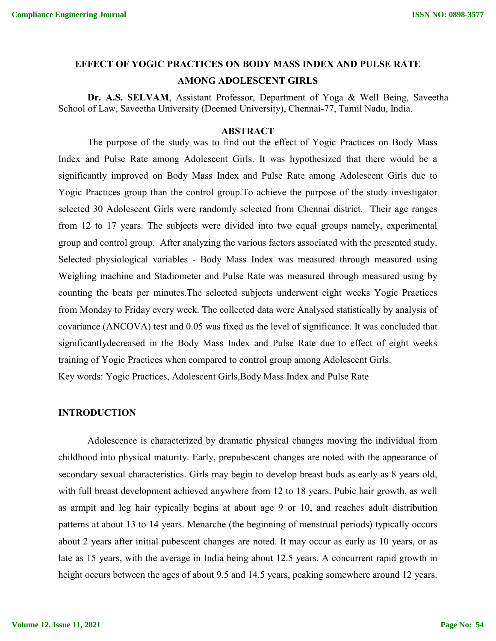# **EFFECT OF YOGIC PRACTICES ON BODY MASS INDEX AND PULSE RATE AMONG ADOLESCENT GIRLS**

**Dr. A.S. SELVAM**, Assistant Professor, Department of Yoga & Well Being, Saveetha School of Law, Saveetha University (Deemed University), Chennai-77, Tamil Nadu, India.

## **ABSTRACT**

The purpose of the study was to find out the effect of Yogic Practices on Body Mass Index and Pulse Rate among Adolescent Girls. It was hypothesized that there would be a significantly improved on Body Mass Index and Pulse Rate among Adolescent Girls due to Yogic Practices group than the control group.To achieve the purpose of the study investigator selected 30 Adolescent Girls were randomly selected from Chennai district. Their age ranges from 12 to 17 years. The subjects were divided into two equal groups namely, experimental group and control group. After analyzing the various factors associated with the presented study. Selected physiological variables - Body Mass Index was measured through measured using Weighing machine and Stadiometer and Pulse Rate was measured through measured using by counting the beats per minutes.The selected subjects underwent eight weeks Yogic Practices from Monday to Friday every week. The collected data were Analysed statistically by analysis of covariance (ANCOVA) test and 0.05 was fixed as the level of significance. It was concluded that significantlydecreased in the Body Mass Index and Pulse Rate due to effect of eight weeks training of Yogic Practices when compared to control group among Adolescent Girls. Key words: Yogic Practices, Adolescent Girls,Body Mass Index and Pulse Rate

#### **INTRODUCTION**

Adolescence is characterized by dramatic physical changes moving the individual from childhood into physical maturity. Early, prepubescent changes are noted with the appearance of secondary sexual characteristics. Girls may begin to develop breast buds as early as 8 years old, with full breast development achieved anywhere from 12 to 18 years. Pubic hair growth, as well as armpit and leg hair typically begins at about age 9 or 10, and reaches adult distribution patterns at about 13 to 14 years. Menarche (the beginning of menstrual periods) typically occurs about 2 years after initial pubescent changes are noted. It may occur as early as 10 years, or as late as 15 years, with the average in India being about 12.5 years. A concurrent rapid growth in height occurs between the ages of about 9.5 and 14.5 years, peaking somewhere around 12 years.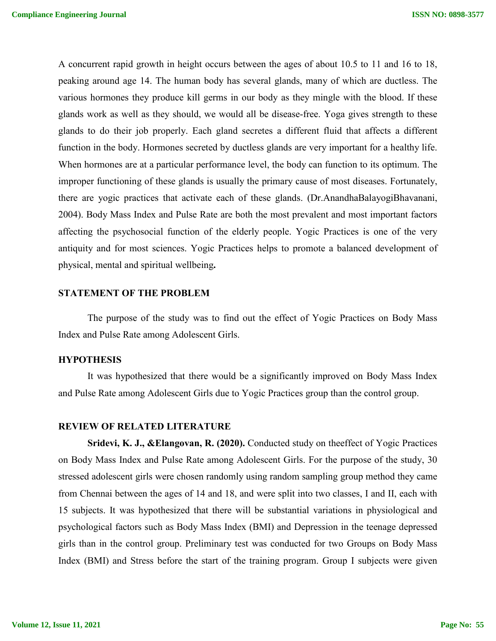A concurrent rapid growth in height occurs between the ages of about 10.5 to 11 and 16 to 18, peaking around age 14. The human body has several glands, many of which are ductless. The various hormones they produce kill germs in our body as they mingle with the blood. If these glands work as well as they should, we would all be disease-free. Yoga gives strength to these glands to do their job properly. Each gland secretes a different fluid that affects a different function in the body. Hormones secreted by ductless glands are very important for a healthy life. When hormones are at a particular performance level, the body can function to its optimum. The improper functioning of these glands is usually the primary cause of most diseases. Fortunately, there are yogic practices that activate each of these glands. (Dr.AnandhaBalayogiBhavanani, 2004). Body Mass Index and Pulse Rate are both the most prevalent and most important factors affecting the psychosocial function of the elderly people. Yogic Practices is one of the very antiquity and for most sciences. Yogic Practices helps to promote a balanced development of physical, mental and spiritual wellbeing**.**

## **STATEMENT OF THE PROBLEM**

The purpose of the study was to find out the effect of Yogic Practices on Body Mass Index and Pulse Rate among Adolescent Girls.

## **HYPOTHESIS**

It was hypothesized that there would be a significantly improved on Body Mass Index and Pulse Rate among Adolescent Girls due to Yogic Practices group than the control group.

#### **REVIEW OF RELATED LITERATURE**

**Sridevi, K. J., &Elangovan, R. (2020).** Conducted study on theeffect of Yogic Practices on Body Mass Index and Pulse Rate among Adolescent Girls. For the purpose of the study, 30 stressed adolescent girls were chosen randomly using random sampling group method they came from Chennai between the ages of 14 and 18, and were split into two classes, I and II, each with 15 subjects. It was hypothesized that there will be substantial variations in physiological and psychological factors such as Body Mass Index (BMI) and Depression in the teenage depressed girls than in the control group. Preliminary test was conducted for two Groups on Body Mass Index (BMI) and Stress before the start of the training program. Group I subjects were given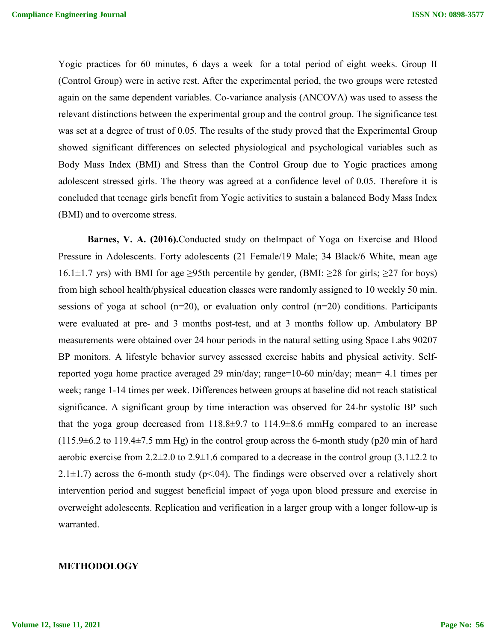Yogic practices for 60 minutes, 6 days a week for a total period of eight weeks. Group II (Control Group) were in active rest. After the experimental period, the two groups were retested again on the same dependent variables. Co-variance analysis (ANCOVA) was used to assess the relevant distinctions between the experimental group and the control group. The significance test was set at a degree of trust of 0.05. The results of the study proved that the Experimental Group showed significant differences on selected physiological and psychological variables such as Body Mass Index (BMI) and Stress than the Control Group due to Yogic practices among adolescent stressed girls. The theory was agreed at a confidence level of 0.05. Therefore it is concluded that teenage girls benefit from Yogic activities to sustain a balanced Body Mass Index (BMI) and to overcome stress.

**Barnes, V. A. (2016).**Conducted study on theImpact of Yoga on Exercise and Blood Pressure in Adolescents. Forty adolescents (21 Female/19 Male; 34 Black/6 White, mean age 16.1±1.7 yrs) with BMI for age ≥95th percentile by gender, (BMI: ≥28 for girls; ≥27 for boys) from high school health/physical education classes were randomly assigned to 10 weekly 50 min. sessions of yoga at school  $(n=20)$ , or evaluation only control  $(n=20)$  conditions. Participants were evaluated at pre- and 3 months post-test, and at 3 months follow up. Ambulatory BP measurements were obtained over 24 hour periods in the natural setting using Space Labs 90207 BP monitors. A lifestyle behavior survey assessed exercise habits and physical activity. Selfreported yoga home practice averaged 29 min/day; range=10-60 min/day; mean= 4.1 times per week; range 1-14 times per week. Differences between groups at baseline did not reach statistical significance. A significant group by time interaction was observed for 24-hr systolic BP such that the yoga group decreased from  $118.8\pm9.7$  to  $114.9\pm8.6$  mmHg compared to an increase  $(115.9\pm6.2 \text{ to } 119.4\pm7.5 \text{ mm Hg})$  in the control group across the 6-month study (p20 min of hard aerobic exercise from  $2.2 \pm 2.0$  to  $2.9 \pm 1.6$  compared to a decrease in the control group (3.1 $\pm 2.2$  to 2.1 $\pm$ 1.7) across the 6-month study (p<.04). The findings were observed over a relatively short intervention period and suggest beneficial impact of yoga upon blood pressure and exercise in overweight adolescents. Replication and verification in a larger group with a longer follow-up is warranted.

## **METHODOLOGY**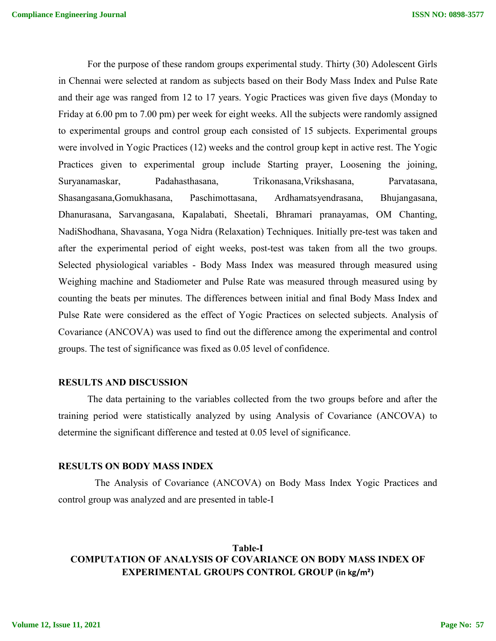For the purpose of these random groups experimental study. Thirty (30) Adolescent Girls in Chennai were selected at random as subjects based on their Body Mass Index and Pulse Rate and their age was ranged from 12 to 17 years. Yogic Practices was given five days (Monday to Friday at 6.00 pm to 7.00 pm) per week for eight weeks. All the subjects were randomly assigned to experimental groups and control group each consisted of 15 subjects. Experimental groups were involved in Yogic Practices (12) weeks and the control group kept in active rest. The Yogic Practices given to experimental group include Starting prayer, Loosening the joining, Suryanamaskar, Padahasthasana, Trikonasana,Vrikshasana, Parvatasana, Shasangasana,Gomukhasana, Paschimottasana, Ardhamatsyendrasana, Bhujangasana, Dhanurasana, Sarvangasana, Kapalabati, Sheetali, Bhramari pranayamas, OM Chanting, NadiShodhana, Shavasana, Yoga Nidra (Relaxation) Techniques. Initially pre-test was taken and after the experimental period of eight weeks, post-test was taken from all the two groups. Selected physiological variables - Body Mass Index was measured through measured using Weighing machine and Stadiometer and Pulse Rate was measured through measured using by counting the beats per minutes. The differences between initial and final Body Mass Index and Pulse Rate were considered as the effect of Yogic Practices on selected subjects. Analysis of Covariance (ANCOVA) was used to find out the difference among the experimental and control groups. The test of significance was fixed as 0.05 level of confidence.

## **RESULTS AND DISCUSSION**

The data pertaining to the variables collected from the two groups before and after the training period were statistically analyzed by using Analysis of Covariance (ANCOVA) to determine the significant difference and tested at 0.05 level of significance.

#### **RESULTS ON BODY MASS INDEX**

The Analysis of Covariance (ANCOVA) on Body Mass Index Yogic Practices and control group was analyzed and are presented in table-I

## **Table-I COMPUTATION OF ANALYSIS OF COVARIANCE ON BODY MASS INDEX OF EXPERIMENTAL GROUPS CONTROL GROUP (in kg/m²)**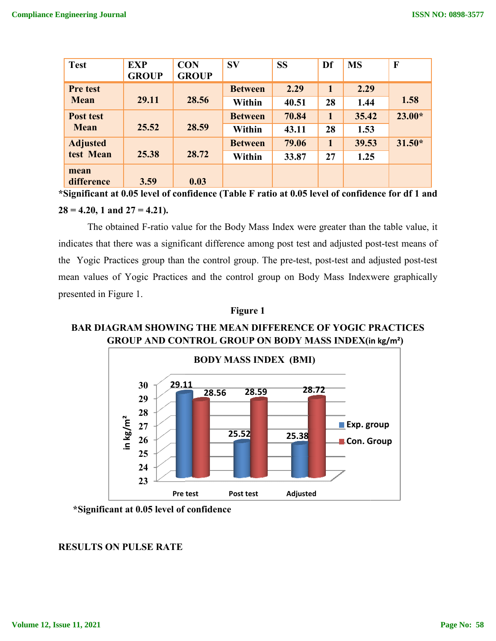| <b>Test</b>                                                                                      | <b>EXP</b>   | <b>CON</b>   | <b>SV</b>      | <b>SS</b> | Df | <b>MS</b> | F        |  |  |
|--------------------------------------------------------------------------------------------------|--------------|--------------|----------------|-----------|----|-----------|----------|--|--|
|                                                                                                  | <b>GROUP</b> | <b>GROUP</b> |                |           |    |           |          |  |  |
| <b>Pre test</b>                                                                                  |              |              | <b>Between</b> | 2.29      |    | 2.29      |          |  |  |
| <b>Mean</b>                                                                                      | 29.11        | 28.56        | Within         | 40.51     | 28 | 1.44      | 1.58     |  |  |
| Post test                                                                                        |              |              | <b>Between</b> | 70.84     |    | 35.42     | $23.00*$ |  |  |
| <b>Mean</b>                                                                                      | 25.52        | 28.59        | Within         | 43.11     | 28 | 1.53      |          |  |  |
| <b>Adjusted</b>                                                                                  |              |              | <b>Between</b> | 79.06     |    | 39.53     | $31.50*$ |  |  |
| test Mean                                                                                        | 25.38        | 28.72        | Within         | 33.87     | 27 | 1.25      |          |  |  |
| mean                                                                                             |              |              |                |           |    |           |          |  |  |
| difference                                                                                       | 3.59         | 0.03         |                |           |    |           |          |  |  |
| *Significant at 0.05 level of confidence (Table F ratio at 0.05 level of confidence for df 1 and |              |              |                |           |    |           |          |  |  |

**28 = 4.20, 1 and 27 = 4.21).**

The obtained F-ratio value for the Body Mass Index were greater than the table value, it The obtained F-ratio value for the Body Mass Index were greater than the table value, it indicates that there was a significant difference among post test and adjusted post-test means of the Yogic Practices group than the control group. The pre-test, post-test and adjusted post-test mean values of Yogic Practices and the control group on Body Mass Indexwere graphically presented in Figure 1.

## **Figure 1**

# **BAR DIAGRAM SHOWING THE MEAN DIFFERENCE OF YOGIC PRACTICES GROUP AND CONTROL GROUP ON BODY MASS INDEX(in kg/m² )**



## **\*Significant at 0.05 level of confidence**

## **RESULTS ON PULSE RATE**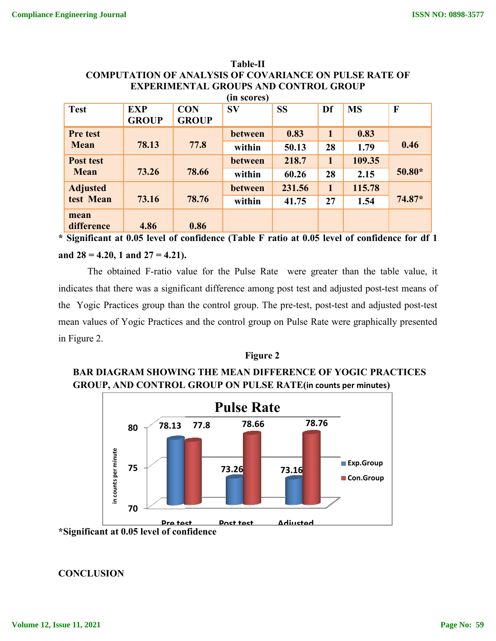| <b>EXPERIMENTAL GROUPS AND CONTROL GROUP</b> |              |              |                |           |                |           |              |  |  |  |  |
|----------------------------------------------|--------------|--------------|----------------|-----------|----------------|-----------|--------------|--|--|--|--|
| (in scores)                                  |              |              |                |           |                |           |              |  |  |  |  |
| <b>Test</b>                                  | <b>EXP</b>   | <b>CON</b>   | <b>SV</b>      | <b>SS</b> | Df             | <b>MS</b> | $\mathbf{F}$ |  |  |  |  |
|                                              | <b>GROUP</b> | <b>GROUP</b> |                |           |                |           |              |  |  |  |  |
| <b>Pre test</b>                              |              |              | between        | 0.83      | $\blacksquare$ | 0.83      |              |  |  |  |  |
| <b>Mean</b>                                  | 78.13        | 77.8         | within         | 50.13     | 28             | 1.79      | 0.46         |  |  |  |  |
| <b>Post test</b>                             |              |              | <b>between</b> | 218.7     | 1              | 109.35    |              |  |  |  |  |
| <b>Mean</b>                                  | 73.26        | 78.66        | within         | 60.26     | 28             | 2.15      | $50.80*$     |  |  |  |  |
| <b>Adjusted</b>                              |              |              | between        | 231.56    | 1              | 115.78    |              |  |  |  |  |
| test Mean                                    | 73.16        | 78.76        | within         | 41.75     | 27             | 1.54      | $74.87*$     |  |  |  |  |
| mean                                         |              |              |                |           |                |           |              |  |  |  |  |
| difference                                   | 4.86         | 0.86         |                |           |                |           |              |  |  |  |  |

# **COMPUTATION OF ANALYSIS OF COVARIANCE ON PULSE RATE OF Table-II**

\* Significant at 0.05 level of confidence (Table F ratio at 0.05 level of confidence for df 1 **and 28 = 4.20, 1 and 27 = 4.21).**

The obtained F-ratio value for the Pulse Rate were greater than the table value, it indicates that there was a significant difference among post test and adjusted post-test means of the Yogic Practices group than the control group. The pre-test, post-test and adjusted post-test mean values of Yogic Practices and the control group on Pulse Rate were graphically presented in Figure 2.

## **Figure 2**

# **BAR DIAGRAM SHOWING THE MEAN DIFFERENCE OF YOGIC PRACTICES GROUP, AND CONTROL GROUP ON PULSE RATE(in counts per minute counts per minutes)**



**CONCLUSION**